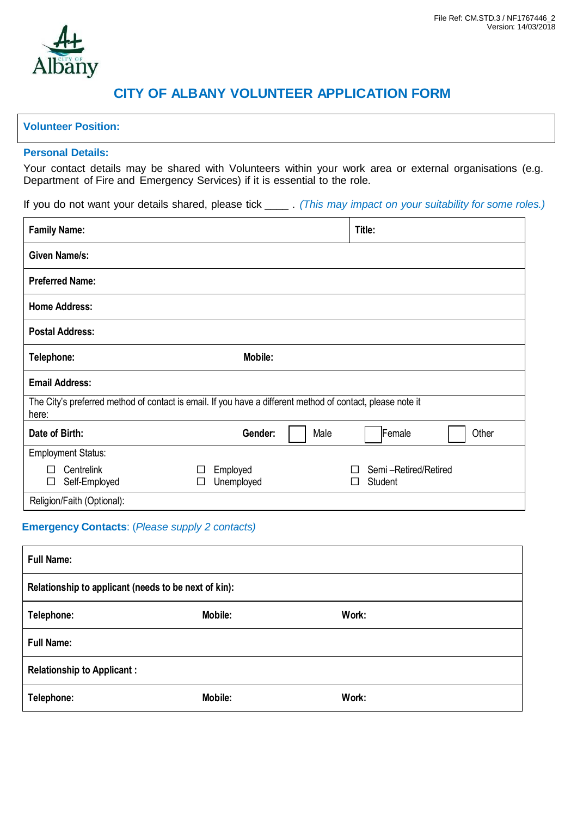# **CITY OF ALBANY VOLUNTEER APPLICATION FORM**

## **Volunteer Position:**

## **Personal Details:**

Your contact details may be shared with Volunteers within your work area or external organisations (e.g. Department of Fire and Emergency Services) if it is essential to the role.

If you do not want your details shared, please tick \_\_\_\_ . *(This may impact on your suitability for some roles.)*

| <b>Family Name:</b>                                                                                                 |                                  |      | Title:                          |  |  |
|---------------------------------------------------------------------------------------------------------------------|----------------------------------|------|---------------------------------|--|--|
| Given Name/s:                                                                                                       |                                  |      |                                 |  |  |
| <b>Preferred Name:</b>                                                                                              |                                  |      |                                 |  |  |
| <b>Home Address:</b>                                                                                                |                                  |      |                                 |  |  |
| <b>Postal Address:</b>                                                                                              |                                  |      |                                 |  |  |
| Telephone:                                                                                                          | Mobile:                          |      |                                 |  |  |
| <b>Email Address:</b>                                                                                               |                                  |      |                                 |  |  |
| The City's preferred method of contact is email. If you have a different method of contact, please note it<br>here: |                                  |      |                                 |  |  |
| Date of Birth:                                                                                                      | Gender:                          | Male | Female<br>Other                 |  |  |
| <b>Employment Status:</b>                                                                                           |                                  |      |                                 |  |  |
| Centrelink<br>П<br>Self-Employed<br>⊔                                                                               | Employed<br>Unemployed<br>$\Box$ |      | Semi-Retired/Retired<br>Student |  |  |
| Religion/Faith (Optional):                                                                                          |                                  |      |                                 |  |  |

## **Emergency Contacts**: (*Please supply 2 contacts)*

| <b>Full Name:</b>                                    |         |       |  |  |
|------------------------------------------------------|---------|-------|--|--|
| Relationship to applicant (needs to be next of kin): |         |       |  |  |
| Telephone:                                           | Mobile: | Work: |  |  |
| <b>Full Name:</b>                                    |         |       |  |  |
| <b>Relationship to Applicant:</b>                    |         |       |  |  |
| Telephone:                                           | Mobile: | Work: |  |  |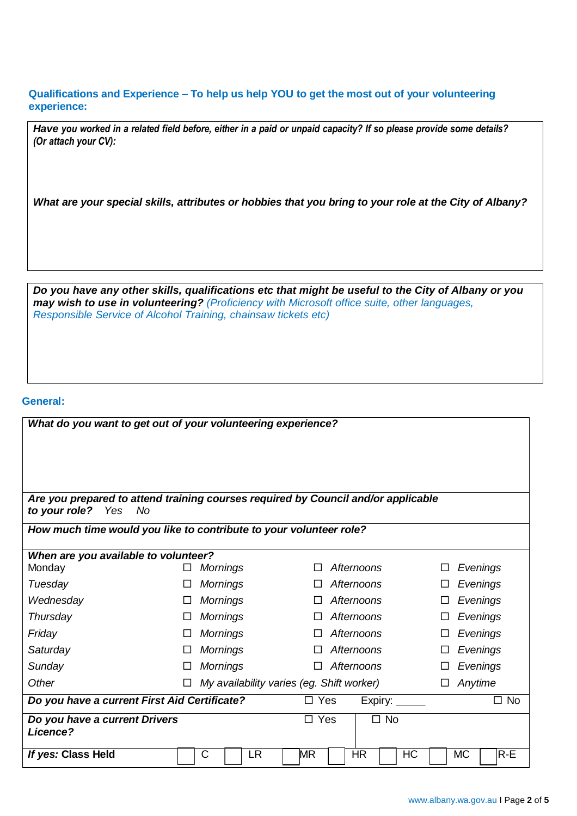**Qualifications and Experience – To help us help YOU to get the most out of your volunteering experience:** 

Have you worked in a related field before, either in a paid or unpaid capacity? If so please provide some details? *(Or attach your CV):* 

What are your special skills, attributes or hobbies that you bring to your role at the City of Albany?

Do you have any other skills, qualifications etc that might be useful to the City of Albany or you *may wish to use in volunteering? (Proficiency with Microsoft office suite, other languages, Responsible Service of Alcohol Training, chainsaw tickets etc)*

#### **General:**

| What do you want to get out of your volunteering experience?                                                    |  |                 |                                           |                    |
|-----------------------------------------------------------------------------------------------------------------|--|-----------------|-------------------------------------------|--------------------|
|                                                                                                                 |  |                 |                                           |                    |
|                                                                                                                 |  |                 |                                           |                    |
|                                                                                                                 |  |                 |                                           |                    |
| Are you prepared to attend training courses required by Council and/or applicable<br>to your role?<br>Yes<br>No |  |                 |                                           |                    |
| How much time would you like to contribute to your volunteer role?                                              |  |                 |                                           |                    |
| When are you available to volunteer?                                                                            |  |                 |                                           |                    |
| Monday                                                                                                          |  | <b>Mornings</b> | Afternoons<br>$\Box$                      | Evenings           |
| Tuesday                                                                                                         |  | <b>Mornings</b> | Afternoons<br>П                           | Evenings           |
| Wednesday                                                                                                       |  | <b>Mornings</b> | Afternoons                                | Evenings           |
| Thursday                                                                                                        |  | <b>Mornings</b> | Afternoons                                | Evenings           |
| Friday                                                                                                          |  | <b>Mornings</b> | Afternoons                                | Evenings           |
| Saturday                                                                                                        |  | <b>Mornings</b> | Afternoons                                | Evenings           |
| Sunday                                                                                                          |  | <b>Mornings</b> | Afternoons                                | Evenings           |
| Other                                                                                                           |  |                 | My availability varies (eg. Shift worker) | Anytime            |
| Do you have a current First Aid Certificate?<br>$\square$ Yes<br>Expiry: $\_\_\_\_\_\_\_\_\$<br>$\Box$ No       |  |                 |                                           |                    |
| Do you have a current Drivers<br>Licence?                                                                       |  |                 | $\Box$ Yes<br>$\Box$ No                   |                    |
| If yes: Class Held                                                                                              |  | C<br><b>LR</b>  | HR.<br>HC<br>MR                           | <b>MC</b><br>$R-E$ |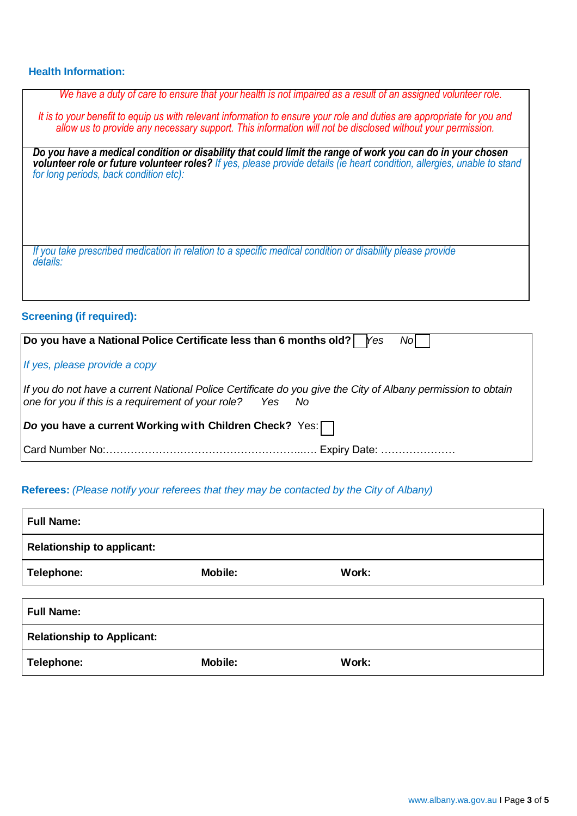## **Health Information:**

*We have a duty of care to ensure that your health is not impaired as a result of an assigned volunteer role.*

*It is to your benefit to equip us with relevant information to ensure your role and duties are appropriate for you and allow us to provide any necessary support. This information will not be disclosed without your permission.*

*Do you have a medical condition or disability that could limit the range of work you can do in your chosen volunteer role or future volunteer roles? If yes, please provide details (ie heart condition, allergies, unable to stand for long periods, back condition etc):*

*If you take prescribed medication in relation to a specific medical condition or disability please provide details:*

## **Screening (if required):**

| Do you have a National Police Certificate less than 6 months old?   $\gamma$ es<br>Nol                                                                                    |  |  |  |  |
|---------------------------------------------------------------------------------------------------------------------------------------------------------------------------|--|--|--|--|
| If yes, please provide a copy                                                                                                                                             |  |  |  |  |
| If you do not have a current National Police Certificate do you give the City of Albany permission to obtain<br>one for you if this is a requirement of your role? Yes No |  |  |  |  |
| Do you have a current Working with Children Check? Yes: $\Box$                                                                                                            |  |  |  |  |
|                                                                                                                                                                           |  |  |  |  |

## **Referees:** *(Please notify your referees that they may be contacted by the City of Albany)*

| <b>Full Name:</b>                 |                |       |
|-----------------------------------|----------------|-------|
| <b>Relationship to applicant:</b> |                |       |
| Telephone:                        | <b>Mobile:</b> | Work: |
|                                   |                |       |
| <b>Full Name:</b>                 |                |       |
| <b>Relationship to Applicant:</b> |                |       |
| Telephone:                        | Mobile:        | Work: |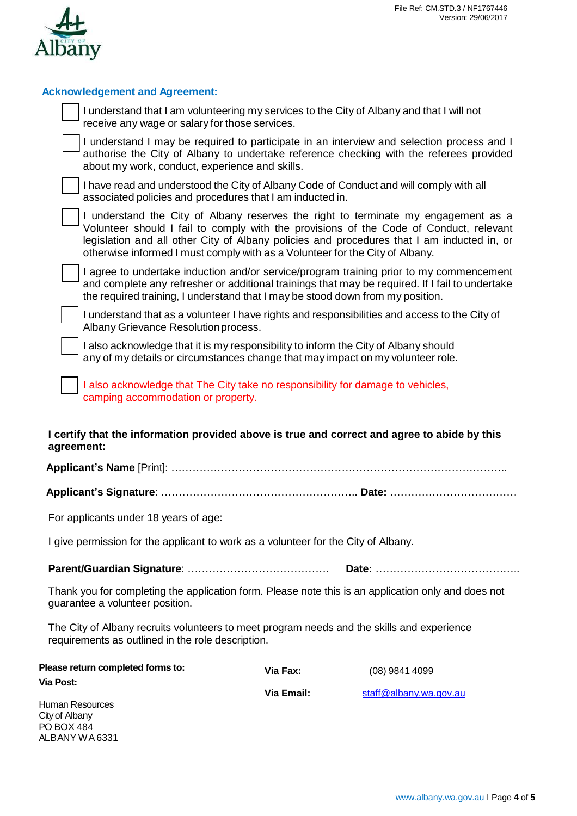

| <b>Acknowledgement and Agreement:</b>                                                                                                                                  |          |                                                                                                                                                                                                                                                                            |
|------------------------------------------------------------------------------------------------------------------------------------------------------------------------|----------|----------------------------------------------------------------------------------------------------------------------------------------------------------------------------------------------------------------------------------------------------------------------------|
| I understand that I am volunteering my services to the City of Albany and that I will not<br>receive any wage or salary for those services.                            |          |                                                                                                                                                                                                                                                                            |
| about my work, conduct, experience and skills.                                                                                                                         |          | I understand I may be required to participate in an interview and selection process and I<br>authorise the City of Albany to undertake reference checking with the referees provided                                                                                       |
| associated policies and procedures that I am inducted in.                                                                                                              |          | I have read and understood the City of Albany Code of Conduct and will comply with all                                                                                                                                                                                     |
| otherwise informed I must comply with as a Volunteer for the City of Albany.                                                                                           |          | I understand the City of Albany reserves the right to terminate my engagement as a<br>Volunteer should I fail to comply with the provisions of the Code of Conduct, relevant<br>legislation and all other City of Albany policies and procedures that I am inducted in, or |
| the required training, I understand that I may be stood down from my position.                                                                                         |          | I agree to undertake induction and/or service/program training prior to my commencement<br>and complete any refresher or additional trainings that may be required. If I fail to undertake                                                                                 |
| Albany Grievance Resolution process.                                                                                                                                   |          | I understand that as a volunteer I have rights and responsibilities and access to the City of                                                                                                                                                                              |
| I also acknowledge that it is my responsibility to inform the City of Albany should<br>any of my details or circumstances change that may impact on my volunteer role. |          |                                                                                                                                                                                                                                                                            |
| I also acknowledge that The City take no responsibility for damage to vehicles,<br>camping accommodation or property.                                                  |          |                                                                                                                                                                                                                                                                            |
| I certify that the information provided above is true and correct and agree to abide by this<br>agreement:                                                             |          |                                                                                                                                                                                                                                                                            |
|                                                                                                                                                                        |          |                                                                                                                                                                                                                                                                            |
|                                                                                                                                                                        |          |                                                                                                                                                                                                                                                                            |
| For applicants under 18 years of age:                                                                                                                                  |          |                                                                                                                                                                                                                                                                            |
| I give permission for the applicant to work as a volunteer for the City of Albany.                                                                                     |          |                                                                                                                                                                                                                                                                            |
|                                                                                                                                                                        |          |                                                                                                                                                                                                                                                                            |
| Thank you for completing the application form. Please note this is an application only and does not<br>guarantee a volunteer position.                                 |          |                                                                                                                                                                                                                                                                            |
| The City of Albany recruits volunteers to meet program needs and the skills and experience<br>requirements as outlined in the role description.                        |          |                                                                                                                                                                                                                                                                            |
| Please return completed forms to:<br><b>Via Post:</b>                                                                                                                  | Via Fax: | (08) 9841 4099                                                                                                                                                                                                                                                             |

Human Resources City of Albany PO BOX 484 ALBANY WA6331 **Via Email:** [staff@albany.wa.gov.au](mailto:staff@albany.wa.gov.au)